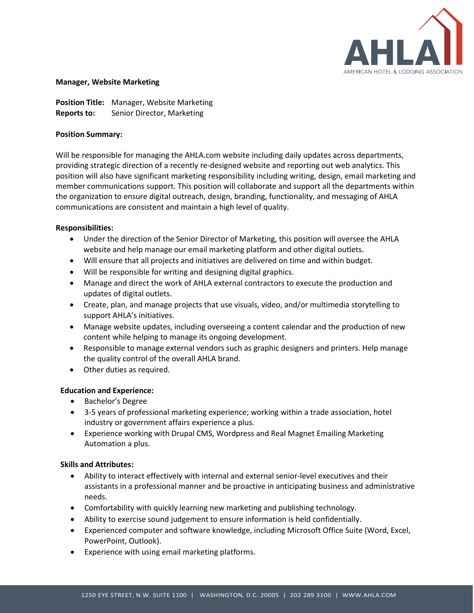

#### **Manager, Website Marketing**

**Position Title:** Manager, Website Marketing **Reports to:** Senior Director, Marketing

### **Position Summary:**

Will be responsible for managing the AHLA.com website including daily updates across departments, providing strategic direction of a recently re-designed website and reporting out web analytics. This position will also have significant marketing responsibility including writing, design, email marketing and member communications support. This position will collaborate and support all the departments within the organization to ensure digital outreach, design, branding, functionality, and messaging of AHLA communications are consistent and maintain a high level of quality.

### **Responsibilities:**

- Under the direction of the Senior Director of Marketing, this position will oversee the AHLA website and help manage our email marketing platform and other digital outlets.
- Will ensure that all projects and initiatives are delivered on time and within budget.
- Will be responsible for writing and designing digital graphics.
- Manage and direct the work of AHLA external contractors to execute the production and updates of digital outlets.
- Create, plan, and manage projects that use visuals, video, and/or multimedia storytelling to support AHLA's initiatives.
- Manage website updates, including overseeing a content calendar and the production of new content while helping to manage its ongoing development.
- Responsible to manage external vendors such as graphic designers and printers. Help manage the quality control of the overall AHLA brand.
- Other duties as required.

# **Education and Experience:**

- Bachelor's Degree
- 3-5 years of professional marketing experience; working within a trade association, hotel industry or government affairs experience a plus.
- Experience working with Drupal CMS, Wordpress and Real Magnet Emailing Marketing Automation a plus.

# **Skills and Attributes:**

- Ability to interact effectively with internal and external senior-level executives and their assistants in a professional manner and be proactive in anticipating business and administrative needs.
- Comfortability with quickly learning new marketing and publishing technology.
- Ability to exercise sound judgement to ensure information is held confidentially.
- Experienced computer and software knowledge, including Microsoft Office Suite (Word, Excel, PowerPoint, Outlook).
- Experience with using email marketing platforms.